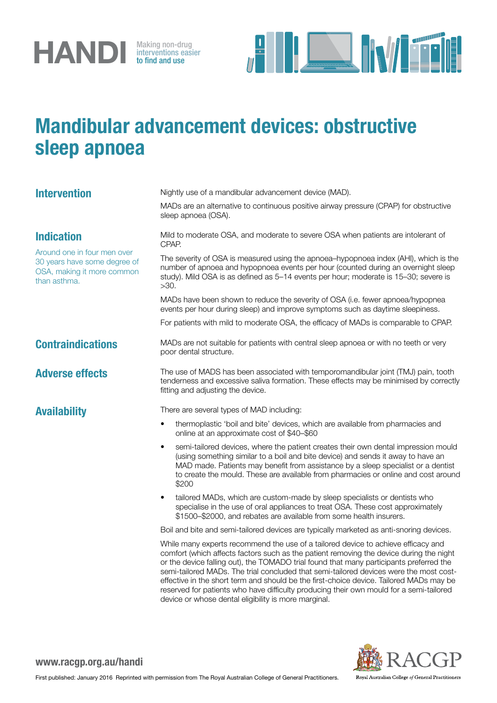

interventions easier to find and use



## Mandibular advancement devices: obstructive sleep apnoea

| <b>Intervention</b>                                                                                                            | Nightly use of a mandibular advancement device (MAD).                                                                                                                                                                                                                                                                                                                                                                                                                                                                                                                                                           |
|--------------------------------------------------------------------------------------------------------------------------------|-----------------------------------------------------------------------------------------------------------------------------------------------------------------------------------------------------------------------------------------------------------------------------------------------------------------------------------------------------------------------------------------------------------------------------------------------------------------------------------------------------------------------------------------------------------------------------------------------------------------|
|                                                                                                                                | MADs are an alternative to continuous positive airway pressure (CPAP) for obstructive<br>sleep apnoea (OSA).                                                                                                                                                                                                                                                                                                                                                                                                                                                                                                    |
| <b>Indication</b><br>Around one in four men over<br>30 years have some degree of<br>OSA, making it more common<br>than asthma. | Mild to moderate OSA, and moderate to severe OSA when patients are intolerant of<br>CPAP.                                                                                                                                                                                                                                                                                                                                                                                                                                                                                                                       |
|                                                                                                                                | The severity of OSA is measured using the apnoea-hypopnoea index (AHI), which is the<br>number of apnoea and hypopnoea events per hour (counted during an overnight sleep<br>study). Mild OSA is as defined as 5-14 events per hour; moderate is 15-30; severe is<br>>30.                                                                                                                                                                                                                                                                                                                                       |
|                                                                                                                                | MADs have been shown to reduce the severity of OSA (i.e. fewer apnoea/hypopnea<br>events per hour during sleep) and improve symptoms such as daytime sleepiness.                                                                                                                                                                                                                                                                                                                                                                                                                                                |
|                                                                                                                                | For patients with mild to moderate OSA, the efficacy of MADs is comparable to CPAP.                                                                                                                                                                                                                                                                                                                                                                                                                                                                                                                             |
| <b>Contraindications</b>                                                                                                       | MADs are not suitable for patients with central sleep apnoea or with no teeth or very<br>poor dental structure.                                                                                                                                                                                                                                                                                                                                                                                                                                                                                                 |
| <b>Adverse effects</b>                                                                                                         | The use of MADS has been associated with temporomandibular joint (TMJ) pain, tooth<br>tenderness and excessive saliva formation. These effects may be minimised by correctly<br>fitting and adjusting the device.                                                                                                                                                                                                                                                                                                                                                                                               |
| <b>Availability</b>                                                                                                            | There are several types of MAD including:                                                                                                                                                                                                                                                                                                                                                                                                                                                                                                                                                                       |
|                                                                                                                                | thermoplastic 'boil and bite' devices, which are available from pharmacies and<br>online at an approximate cost of \$40–\$60                                                                                                                                                                                                                                                                                                                                                                                                                                                                                    |
|                                                                                                                                | semi-tailored devices, where the patient creates their own dental impression mould<br>$\bullet$<br>(using something similar to a boil and bite device) and sends it away to have an<br>MAD made. Patients may benefit from assistance by a sleep specialist or a dentist<br>to create the mould. These are available from pharmacies or online and cost around<br>\$200                                                                                                                                                                                                                                         |
|                                                                                                                                | tailored MADs, which are custom-made by sleep specialists or dentists who<br>specialise in the use of oral appliances to treat OSA. These cost approximately<br>\$1500-\$2000, and rebates are available from some health insurers.                                                                                                                                                                                                                                                                                                                                                                             |
|                                                                                                                                | Boil and bite and semi-tailored devices are typically marketed as anti-snoring devices.                                                                                                                                                                                                                                                                                                                                                                                                                                                                                                                         |
|                                                                                                                                | While many experts recommend the use of a tailored device to achieve efficacy and<br>comfort (which affects factors such as the patient removing the device during the night<br>or the device falling out), the TOMADO trial found that many participants preferred the<br>semi-tailored MADs. The trial concluded that semi-tailored devices were the most cost-<br>effective in the short term and should be the first-choice device. Tailored MADs may be<br>reserved for patients who have difficulty producing their own mould for a semi-tailored<br>device or whose dental eligibility is more marginal. |



www.racgp.org.au/handi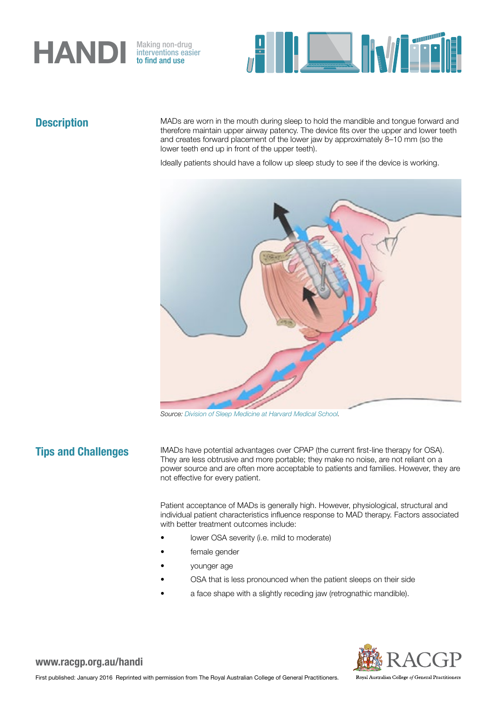

interventions easier to find and use



**Description** MADs are worn in the mouth during sleep to hold the mandible and tongue forward and therefore maintain upper airway patency. The device fits over the upper and lower teeth and creates forward placement of the lower jaw by approximately 8–10 mm (so the lower teeth end up in front of the upper teeth).

Ideally patients should have a follow up sleep study to see if the device is working.



*Source: [Division of Sleep Medicine at Harvard Medical School.](http://healthysleep.med.harvard.edu/sleep-apnea/treating-osa/nonsurgical)*

**Tips and Challenges** IMADs have potential advantages over CPAP (the current first-line therapy for OSA). They are less obtrusive and more portable; they make no noise, are not reliant on a power source and are often more acceptable to patients and families. However, they are not effective for every patient.

> Patient acceptance of MADs is generally high. However, physiological, structural and individual patient characteristics influence response to MAD therapy. Factors associated with better treatment outcomes include:

- lower OSA severity (i.e. mild to moderate)
- female gender
- younger age
- OSA that is less pronounced when the patient sleeps on their side
- a face shape with a slightly receding jaw (retrognathic mandible).



www.racgp.org.au/handi

Royal Australian College of General Practitioners